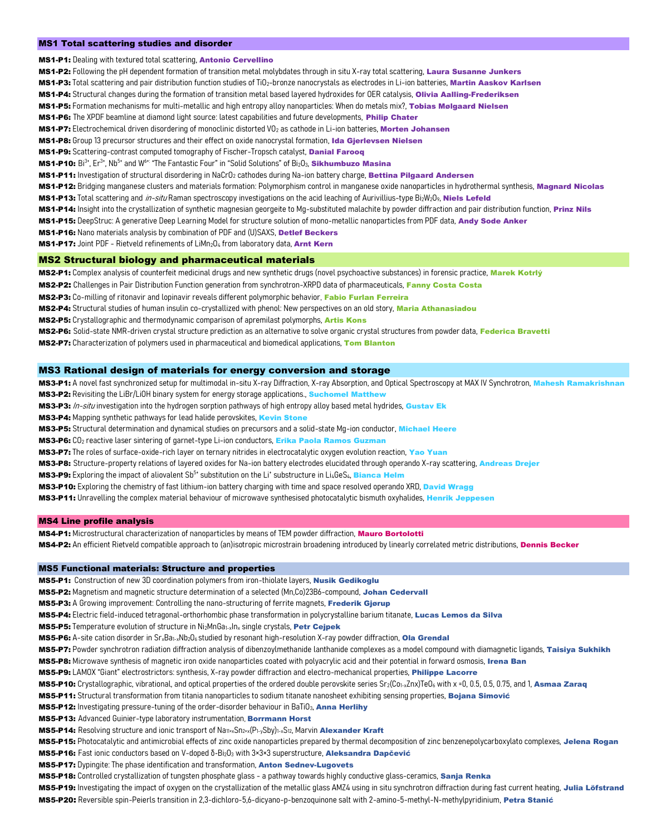#### MS1 Total scattering studies and disorder

MS1-P1: Dealing with textured total scattering, Antonio Cervellino

MS1-P2: Following the pH dependent formation of transition metal molybdates through in situ X-ray total scattering, Laura Susanne Junkers

- MS1-P3: Total scattering and pair distribution function studies of TiO<sub>2</sub>-bronze nanocrystals as electrodes in Li-ion batteries, Martin Aaskov Karlsen
- MS1-P4: Structural changes during the formation of transition metal based layered hydroxides for OER catalysis, Olivia Aalling-Frederiksen
- MS1-P5: Formation mechanisms for multi-metallic and high entropy alloy nanoparticles: When do metals mix?, Tobias Mølgaard Nielsen

MS1-P6: The XPDF beamline at diamond light source: latest capabilities and future developments, Philip Chater

MS1-P7: Electrochemical driven disordering of monoclinic distorted VO<sub>2</sub> as cathode in Li-ion batteries, Morten Johansen

MS1-P8: Group 13 precursor structures and their effect on oxide nanocrystal formation, Ida Gjerlevsen Nielsen

MS1-P9: Scattering-contrast computed tomography of Fischer-Tropsch catalyst, Danial Farooq

MS1-P10: Bi<sup>3+</sup>, Er<sup>3+</sup>, Nb<sup>5+</sup> and W<sup>6+:</sup> "The Fantastic Four" in "Solid Solutions" of Bi<sub>2</sub>O<sub>3</sub>, Sikhumbuzo Masina

MS1-P11: Investigation of structural disordering in NaCrO<sub>2</sub> cathodes during Na-ion battery charge, Bettina Pilgaard Andersen

MS1-P12: Bridging manganese clusters and materials formation: Polymorphism control in manganese oxide nanoparticles in hydrothermal synthesis, Magnard Nicolas

MS1-P13: Total scattering and *in-situ* Raman spectroscopy investigations on the acid leaching of Aurivillius-type BizW2O9, Niels Lefeld

- MS1-P14: Insight into the crystallization of synthetic magnesian georgeite to Mg-substituted malachite by powder diffraction and pair distribution function, Prinz Nils
- MS1-P15: DeepStruc: A generative Deep Learning Model for structure solution of mono-metallic nanoparticles from PDF data, Andy Sode Anker

MS1-P16: Nano materials analysis by combination of PDF and (U)SAXS, Detlef Beckers

MS1-P17: Joint PDF - Rietveld refinements of LiMn<sub>2</sub>O<sub>4</sub> from laboratory data, Arnt Kern

# MS2 Structural biology and pharmaceutical materials

MS2-P1: Complex analysis of counterfeit medicinal drugs and new synthetic drugs (novel psychoactive substances) in forensic practice, Marek Kotrlý

MS2-P2: Challenges in Pair Distribution Function generation from synchrotron-XRPD data of pharmaceuticals, Fanny Costa Costa

MS2-P3: Co-milling of ritonavir and lopinavir reveals different polymorphic behavior, Fabio Furlan Ferreira

MS2-P4: Structural studies of human insulin co-crystallized with phenol: New perspectives on an old story, Maria Athanasiadou

MS2-P5: Crystallographic and thermodynamic comparison of apremilast polymorphs, Artis Kons

MS2-P6: Solid-state NMR-driven crystal structure prediction as an alternative to solve organic crystal structures from powder data, Federica Bravetti

MS2-P7: Characterization of polymers used in pharmaceutical and biomedical applications, Tom Blanton

## MS3 Rational design of materials for energy conversion and storage

MS3-P1: A novel fast synchronized setup for multimodal in-situ X-ray Diffraction, X-ray Absorption, and Optical Spectroscopy at MAX IV Synchrotron, Mahesh Ramakrishnan MS3-P2: Revisiting the LiBr/LiOH binary system for energy storage applications., Suchomel Matthe

MS3-P3: In-situ investigation into the hydrogen sorption pathways of high entropy alloy based metal hydrides, Gustav Ek

MS3-P4: Mapping synthetic pathways for lead halide perovskites, Kevin Stone

MS3-P5: Structural determination and dynamical studies on precursors and a solid-state Mg-ion conductor, Michael Heere

MS3-P6: CO<sub>2</sub> reactive laser sintering of garnet-type Li-ion conductors, Erika Paola Ramos Guzman

MS3-P7: The roles of surface-oxide-rich layer on ternary nitrides in electrocatalytic oxygen evolution reaction, Yao Yuan

MS3-P8: Structure-property relations of layered oxides for Na-ion battery electrodes elucidated through operando X-ray scattering, Andreas Drejer

MS3-P9: Exploring the impact of aliovalent Sb<sup>5+</sup> substitution on the Li\* substructure in Li<sub>4</sub>GeS<sub>4</sub>, Bianca Helm

MS3-P10: Exploring the chemistry of fast lithium-ion battery charging with time and space resolved operando XRD, David Wragg

MS3-P11: Unravelling the complex material behaviour of microwave synthesised photocatalytic bismuth oxyhalides, Henrik Jeppesen

## MS4 Line profile analysis

MS4-P1: Microstructural characterization of nanoparticles by means of TEM powder diffraction, Mauro Bortolotti MS4-P2: An efficient Rietveld compatible approach to (an)isotropic microstrain broadening introduced by linearly correlated metric distributions, Dennis Becker

### MS5 Functional materials: Structure and properties

MS5-P1: Construction of new 3D coordination polymers from iron-thiolate layers, Nusik Gedikoglu

MS5-P2: Magnetism and magnetic structure determination of a selected (Mn,Co)23B6-compound, Johan Cedervall

MS5-P3: A Growing improvement: Controlling the nano-structuring of ferrite magnets, Frederik Gjørup

MS5-P4: Electric field-induced tetragonal-orthorhombic phase transformation in polycrystalline barium titanate, Lucas Lemos da Silva

MS5-P5: Temperature evolution of structure in Ni<sub>2</sub>MnGa<sub>1-x</sub>In<sub>x</sub> single crystals, Petr Cejpek

MS5-P6: A-site cation disorder in Sr<sub>x</sub>Ba<sub>1-x</sub>Nb<sub>2</sub>O<sub>6</sub> studied by resonant high-resolution X-ray powder diffraction, Ola Grendal

MS5-P7: Powder synchrotron radiation diffraction analysis of dibenzoylmethanide lanthanide complexes as a model compound with diamagnetic ligands, Taisiya Sukhikh

MS5-P8: Microwave synthesis of magnetic iron oxide nanoparticles coated with polyacrylic acid and their potential in forward osmosis, Irena Ban

MS5-P9: LAMOX "Giant" electrostrictors: synthesis, X-ray powder diffraction and electro-mechanical properties, Philippe Lacorre

MS5-P10: Crystallographic, vibrational, and optical properties of the ordered double perovskite series Sr<sub>2</sub>(Co<sub>1-x</sub>Znx)TeO<sub>6</sub> with x =0, 0.5, 0.5, 0.75, and 1, Asmaa Zaraq

MS5-P11: Structural transformation from titania nanoparticles to sodium titanate nanosheet exhibiting sensing properties, Bojana Simović

MS5-P12: Investigating pressure-tuning of the order-disorder behaviour in BaTiO<sub>3</sub>, Anna Herlihy

MS5-P13: Advanced Guinier-type laboratory instrumentation, Borrmann Horst

MS5-P14: Resolving structure and ionic transport of Na<sub>11+x</sub>Sn<sub>2+x</sub>(P<sub>1-y</sub>Sby)<sub>1-x</sub>S<sub>12</sub>, Marvin Alexander Kraft

MS5-P15: Photocatalytic and antimicrobial effects of zinc oxide nanoparticles prepared by thermal decomposition of zinc benzenepolycarboxylato complexes, Jelena Rogan

MS5-P16: Fast ionic conductors based on V-doped δ-Bi<sub>2</sub>O<sub>3</sub> with 3×3×3 superstructure, Aleksandra Dapčević

MS5-P17: Dypingite: The phase identification and transformation, Anton Sednev-Lugovets

MS5-P18: Controlled crystallization of tungsten phosphate glass - a pathway towards highly conductive glass-ceramics, Sanja Renka

MS5-P19: Investigating the impact of oxygen on the crystallization of the metallic glass AMZ4 using in situ synchrotron diffraction during fast current heating, Julia Löfstrand MS5-P20: Reversible spin-Peierls transition in 2,3-dichloro-5,6-dicyano-p-benzoquinone salt with 2-amino-5-methyl-N-methylpyridinium, Petra Stanić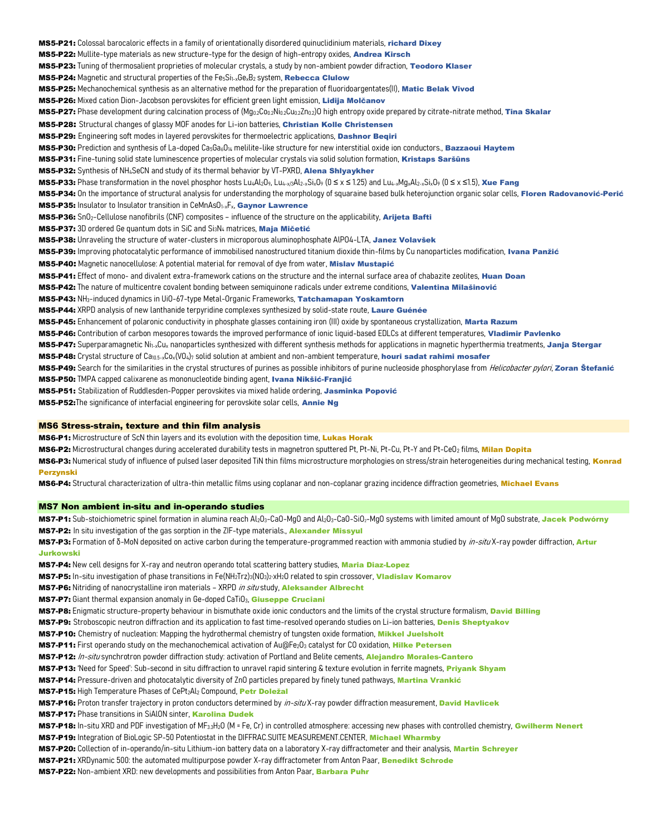MS5-P21: Colossal barocaloric effects in a family of orientationally disordered quinuclidinium materials, richard Dixey MS5-P22: Mullite-type materials as new structure-type for the design of high-entropy oxides, Andrea Kirsch MS5-P23: Tuning of thermosalient proprieties of molecular crystals, a study by non-ambient powder difraction, Teodoro Klaser **MS5-P24:** Magnetic and structural properties of the  $Fe<sub>5</sub>Si<sub>1-x</sub>Ge<sub>x</sub>B<sub>2</sub>$  system, **Rebecca Clulow** MS5-P25: Mechanochemical synthesis as an alternative method for the preparation of fluoridoargentates(II), Matic Belak Vivod MS5-P26: Mixed cation Dion-Jacobson perovskites for efficient green light emission, Lidija Molčanov MS5-P27: Phase development during calcination process of  $(Mq_0_2Co_0_2Ni_0_2Cu_0_22n_0_2)$  high entropy oxide prepared by citrate-nitrate method, Tina Skalar MS5-P28: Structural changes of glassy MOF anodes for Li-ion batteries, Christian Kolle Christensen MS5-P29: Engineering soft modes in layered perovskites for thermoelectric applications, Dashnor Begiri MS5-P30: Prediction and synthesis of La-doped Ca<sub>5Ga6O14</sub> melilite-like structure for new interstitial oxide ion conductors., Bazzaoui Haytem MS5-P31: Fine-tuning solid state luminescence properties of molecular crystals via solid solution formation, Kristaps Saršūns MS5-P32: Synthesis of NH4SeCN and study of its thermal behavior by VT-PXRD, Alena Shlyaykher MS5-P33: Phase transformation in the novel phosphor hosts LuaAl2O9, Lua-x/3Al2-xSixO9 (0 ≤ x ≤ 1.25) and Lua-xMgxAl2-xSixO9 (0 ≤ x ≤ 1.5), Xue Fang MS5-P34: On the importance of structural analysis for understanding the morphology of squaraine based bulk heterojunction organic solar cells, Floren Radovanović-Perić MS5-P35: Insulator to Insulator transition in CeMnAsO<sub>1-x</sub>F<sub>x</sub>, Gaynor Lawrence MS5-P36: SnO<sub>2</sub>-Cellulose nanofibrils (CNF) composites – influence of the structure on the applicability, Arijeta Bafti MS5-P37: 3D ordered Ge quantum dots in SiC and Si<sub>3</sub>N<sub>4</sub> matrices, Maja Mičetić MS5-P38: Unraveling the structure of water-clusters in microporous aluminophosphate AlPO4-LTA, Janez Volavšek MS5-P39: Improving photocatalytic performance of immobilised nanostructured titanium dioxide thin-films by Cu nanoparticles modification, Ivana Panžić MS5-P40: Magnetic nanocellulose: A potential material for removal of dye from water, Mislav Mustapić MS5-P41: Effect of mono- and divalent extra-framework cations on the structure and the internal surface area of chabazite zeolites, Huan Doan MS5-P42: The nature of multicentre covalent bonding between semiquinone radicals under extreme conditions, Valentina Milašinović MS5-P43: NH3-induced dynamics in UiO-67-type Metal-Organic Frameworks, Tatchamapan Yoskamtorn MS5-P44: XRPD analysis of new lanthanide terpyridine complexes synthesized by solid-state route, Laure Guénée MS5-P45: Enhancement of polaronic conductivity in phosphate glasses containing iron (III) oxide by spontaneous crystallization, Marta Razum MS5-P46: Contribution of carbon mesopores towards the improved performance of ionic liquid-based EDLCs at different temperatures, Vladimir Pavlenko MS5-P47: Superparamagnetic Ni<sub>1-x</sub>Cu<sub>x</sub> nanoparticles synthesized with different synthesis methods for applications in magnetic hyperthermia treatments, Janja Stergar MS5-P48: Crystal structure of Ca<sub>10.5-x</sub>Co<sub>x</sub>(VO<sub>4</sub>)<sub>7</sub> solid solution at ambient and non-ambient temperature, houri sadat rahimi mosafer MS5-P49: Search for the similarities in the crystal structures of purines as possible inhibitors of purine nucleoside phosphorylase from *Helicobacter pylori*, Zoran Štefanić MS5-P50: TMPA capped calixarene as mononucleotide binding agent, Ivana Nikšić-Franjić MS5-P51: Stabilization of Ruddlesden-Popper perovskites via mixed halide ordering, Jasminka Popović MS5-P52: The significance of interfacial engineering for perovskite solar cells, Annie Ng

### MS6 Stress-strain, texture and thin film analysis

MS6-P1: Microstructure of ScN thin layers and its evolution with the deposition time. Lukas Horak

MS6-P2: Microstructural changes during accelerated durability tests in magnetron sputtered Pt. Pt-Ni, Pt-Cu, Pt-Y and Pt-CeO<sub>2</sub> films, Milan Dopita

MS6-P3: Numerical study of influence of pulsed laser deposited TiN thin films microstructure morphologies on stress/strain heterogeneities during mechanical testing, Konrad Perzynski

MS6-P4: Structural characterization of ultra-thin metallic films using coplanar and non-coplanar grazing incidence diffraction geometries, Michael Evans

## MS7 Non ambient in-situ and in-operando studies

MS7-P1: Sub-stoichiometric spinel formation in alumina reach Al<sub>2</sub>O<sub>3</sub>-CaO-MgO and Al<sub>2</sub>O<sub>3</sub>-CaO-SiO<sub>2</sub>-MgO systems with limited amount of MgO substrate, Jacek Podwórny MS7-P2: In situ investigation of the gas sorption in the ZIF-type materials. Alexander Missyul

MS7-P3: Formation of δ-MoN deposited on active carbon during the temperature-programmed reaction with ammonia studied by *in-situ* X-ray powder diffraction, Artur Jurkowski

MS7-P4: New cell designs for X-ray and neutron operando total scattering battery studies, Maria Diaz-Lopez

MS7-P5: In-situ investigation of phase transitions in Fe(NH<sub>2</sub>Trz)<sub>3</sub>(NO<sub>3</sub>)<sub>2</sub>·xH<sub>2</sub>O related to spin crossover, Vladislav Komarov

MS7-P6: Nitriding of nanocrystalline iron materials - XRPD in situ study, Aleksander Albrecht

MS7-P7: Giant thermal expansion anomaly in Ge-doped CaTiO<sub>3</sub>, Giuseppe Cruciani

MS7-P8: Enigmatic structure-property behaviour in bismuthate oxide ionic conductors and the limits of the crystal structure formalism, David Billing

MS7-P9: Stroboscopic neutron diffraction and its application to fast time-resolved operando studies on Li-ion batteries, Denis Sheptyakov

MS7-P10: Chemistry of nucleation: Mapping the hydrothermal chemistry of tungsten oxide formation, Mikkel Juelsholt

MS7-P11: First operando study on the mechanochemical activation of Au@Fe<sub>2</sub>O<sub>3</sub> catalyst for CO oxidation, Hilke Petersen

MS7-P12: In-situ synchrotron powder diffraction study: activation of Portland and Belite cements, Alejandro Morales-Cantero

MS7-P13: 'Need for Speed': Sub-second in situ diffraction to unravel rapid sintering & texture evolution in ferrite magnets, Priyank Shyam

MS7-P14: Pressure-driven and photocatalytic diversity of ZnO particles prepared by finely tuned pathways, Martina Vrankić

MS7-P15: High Temperature Phases of CePt2Al2 Compound, Petr Doležal

MS7-P16: Proton transfer trajectory in proton conductors determined by *in-situ* X-ray powder diffraction measurement, David Havlicek

MS7-P17: Phase transitions in SiAlON sinter, Karolina Dudek

MS7-P18: In-situ XRD and PDF investigation of MF<sub>3.3</sub>H<sub>2</sub>O (M = Fe, Cr) in controlled atmosphere: accessing new phases with controlled chemistry, Gwilherm Nenert

MS7-P19: Integration of BioLogic SP-50 Potentiostat in the DIFFRAC.SUITE MEASUREMENT.CENTER, Michael Wharmby

MS7-P20: Collection of in-operando/in-situ Lithium-ion battery data on a laboratory X-ray diffractometer and their analysis, Martin Schreyer

MS7-P21: XRDynamic 500: the automated multipurpose powder X-ray diffractometer from Anton Paar, Benedikt Schrode

MS7-P22: Non-ambient XRD: new developments and possibilities from Anton Paar, Barbara Puhr